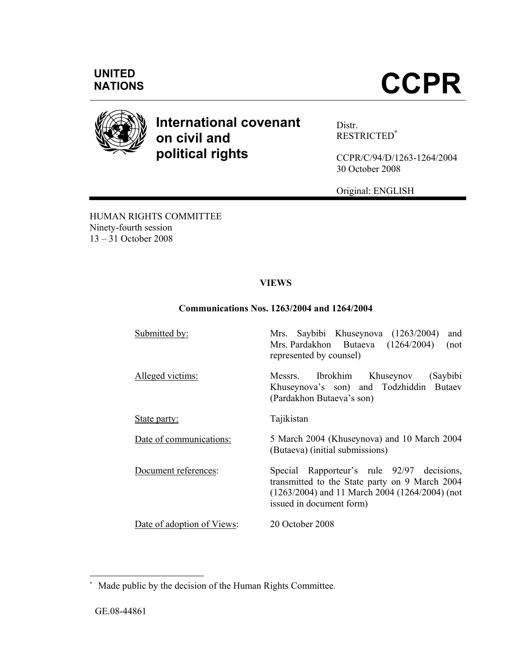

# **International covenant on civil and political rights**

Distr. RESTRICTED**\***

CCPR/C/94/D/1263-1264/2004 30 October 2008

Original: ENGLISH

HUMAN RIGHTS COMMITTEE Ninety-fourth session 13 – 31 October 2008

## **VIEWS**

## **Communications Nos. 1263/2004 and 1264/2004**

| Submitted by:              | Mrs. Saybibi Khuseynova (1263/2004)<br>and<br>Mrs. Pardakhon Butaeva (1264/2004)<br>(not<br>represented by counsel)                                                          |
|----------------------------|------------------------------------------------------------------------------------------------------------------------------------------------------------------------------|
| Alleged victims:           | Messrs. Ibrokhim Khuseynov<br>(Saybibi<br>Khuseynova's son) and Todzhiddin Butaev<br>(Pardakhon Butaeva's son)                                                               |
| State party:               | Tajikistan                                                                                                                                                                   |
| Date of communications:    | 5 March 2004 (Khuseynova) and 10 March 2004<br>(Butaeva) (initial submissions)                                                                                               |
| Document references:       | Special Rapporteur's rule 92/97 decisions,<br>transmitted to the State party on 9 March 2004<br>$(1263/2004)$ and 11 March 2004 (1264/2004) (not<br>issued in document form) |
| Date of adoption of Views: | 20 October 2008                                                                                                                                                              |

 $\overline{a}$ 

**<sup>\*</sup>** Made public by the decision of the Human Rights Committee.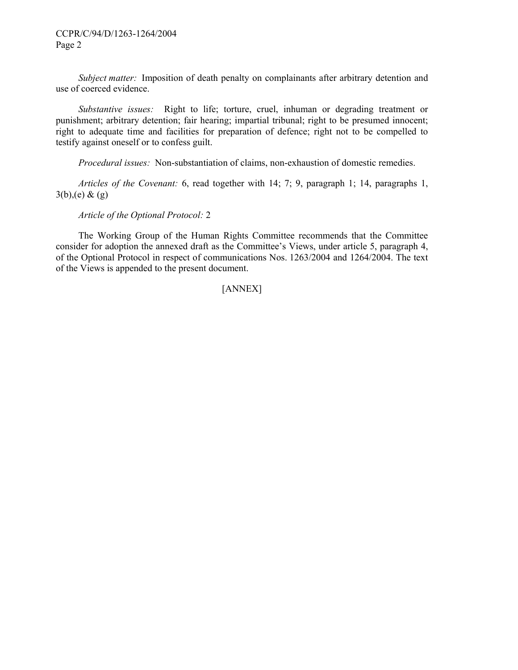*Subject matter:* Imposition of death penalty on complainants after arbitrary detention and use of coerced evidence.

 *Substantive issues:* Right to life; torture, cruel, inhuman or degrading treatment or punishment; arbitrary detention; fair hearing; impartial tribunal; right to be presumed innocent; right to adequate time and facilities for preparation of defence; right not to be compelled to testify against oneself or to confess guilt.

 *Procedural issues:* Non-substantiation of claims, non-exhaustion of domestic remedies.

 *Articles of the Covenant:* 6, read together with 14; 7; 9, paragraph 1; 14, paragraphs 1,  $3(b)$ , (e) & (g)

 *Article of the Optional Protocol:* 2

 The Working Group of the Human Rights Committee recommends that the Committee consider for adoption the annexed draft as the Committee's Views, under article 5, paragraph 4, of the Optional Protocol in respect of communications Nos. 1263/2004 and 1264/2004. The text of the Views is appended to the present document.

#### [ANNEX]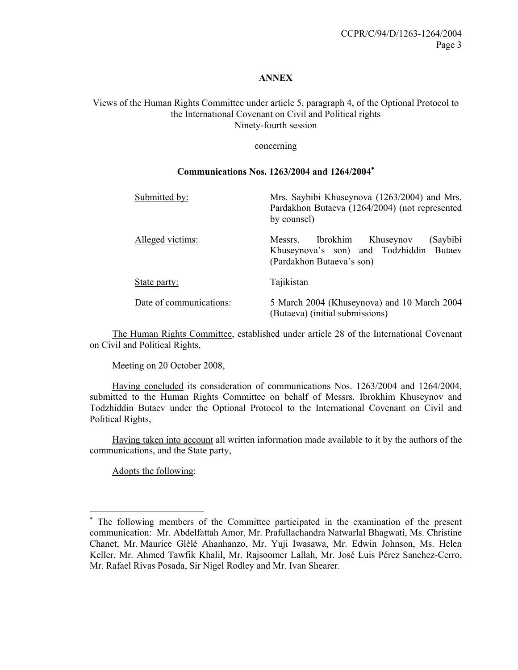#### **ANNEX**

## Views of the Human Rights Committee under article 5, paragraph 4, of the Optional Protocol to the International Covenant on Civil and Political rights Ninety-fourth session

#### concerning

## **Communications Nos. 1263/2004 and 1264/2004**<sup>∗</sup>

| Submitted by:           | Mrs. Saybibi Khuseynova (1263/2004) and Mrs.<br>Pardakhon Butaeva (1264/2004) (not represented<br>by counsel)        |
|-------------------------|----------------------------------------------------------------------------------------------------------------------|
| Alleged victims:        | Ibrokhim<br>(Saybibi<br>Khuseynov<br>Messrs.<br>Khuseynova's son) and Todzhiddin Butaev<br>(Pardakhon Butaeva's son) |
| State party:            | Tajikistan                                                                                                           |
| Date of communications: | 5 March 2004 (Khuseynova) and 10 March 2004<br>(Butaeva) (initial submissions)                                       |

 The Human Rights Committee, established under article 28 of the International Covenant on Civil and Political Rights,

Meeting on 20 October 2008,

 Having concluded its consideration of communications Nos. 1263/2004 and 1264/2004, submitted to the Human Rights Committee on behalf of Messrs. Ibrokhim Khuseynov and Todzhiddin Butaev under the Optional Protocol to the International Covenant on Civil and Political Rights,

 Having taken into account all written information made available to it by the authors of the communications, and the State party,

Adopts the following:

 $\overline{a}$ 

<sup>∗</sup> The following members of the Committee participated in the examination of the present communication: Mr. Abdelfattah Amor, Mr. Prafullachandra Natwarlal Bhagwati, Ms. Christine Chanet, Mr. Maurice Glèlè Ahanhanzo, Mr. Yuji Iwasawa, Mr. Edwin Johnson, Ms. Helen Keller, Mr. Ahmed Tawfik Khalil, Mr. Rajsoomer Lallah, Mr. José Luis Pérez Sanchez-Cerro, Mr. Rafael Rivas Posada, Sir Nigel Rodley and Mr. Ivan Shearer.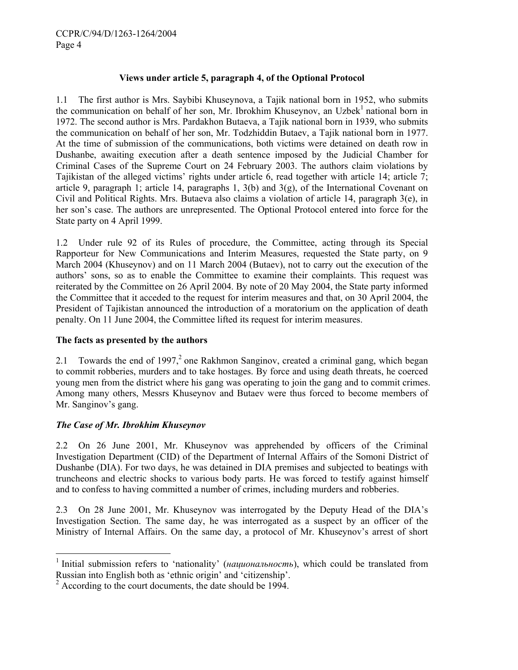## **Views under article 5, paragraph 4, of the Optional Protocol**

1.1 The first author is Mrs. Saybibi Khuseynova, a Tajik national born in 1952, who submits the communication on behalf of her son, Mr. Ibrokhim Khuseynov, an Uzbek<sup>1</sup> national born in 1972. The second author is Mrs. Pardakhon Butaeva, a Tajik national born in 1939, who submits the communication on behalf of her son, Mr. Todzhiddin Butaev, a Tajik national born in 1977. At the time of submission of the communications, both victims were detained on death row in Dushanbe, awaiting execution after a death sentence imposed by the Judicial Chamber for Criminal Cases of the Supreme Court on 24 February 2003. The authors claim violations by Tajikistan of the alleged victims' rights under article 6, read together with article 14; article 7; article 9, paragraph 1; article 14, paragraphs 1,  $3(b)$  and  $3(g)$ , of the International Covenant on Civil and Political Rights. Mrs. Butaeva also claims a violation of article 14, paragraph  $3(e)$ , in her son's case. The authors are unrepresented. The Optional Protocol entered into force for the State party on 4 April 1999.

1.2 Under rule 92 of its Rules of procedure, the Committee, acting through its Special Rapporteur for New Communications and Interim Measures, requested the State party, on 9 March 2004 (Khuseynov) and on 11 March 2004 (Butaev), not to carry out the execution of the authors' sons, so as to enable the Committee to examine their complaints. This request was reiterated by the Committee on 26 April 2004. By note of 20 May 2004, the State party informed the Committee that it acceded to the request for interim measures and that, on 30 April 2004, the President of Tajikistan announced the introduction of a moratorium on the application of death penalty. On 11 June 2004, the Committee lifted its request for interim measures.

#### **The facts as presented by the authors**

2.1 Towards the end of 1997, $2$  one Rakhmon Sanginov, created a criminal gang, which began to commit robberies, murders and to take hostages. By force and using death threats, he coerced young men from the district where his gang was operating to join the gang and to commit crimes. Among many others, Messrs Khuseynov and Butaev were thus forced to become members of Mr. Sanginov's gang.

#### *The Case of Mr. Ibrokhim Khuseynov*

 $\overline{\phantom{a}}$ 

2.2 On 26 June 2001, Mr. Khuseynov was apprehended by officers of the Criminal Investigation Department (CID) of the Department of Internal Affairs of the Somoni District of Dushanbe (DIA). For two days, he was detained in DIA premises and subjected to beatings with truncheons and electric shocks to various body parts. He was forced to testify against himself and to confess to having committed a number of crimes, including murders and robberies.

2.3 On 28 June 2001, Mr. Khuseynov was interrogated by the Deputy Head of the DIA's Investigation Section. The same day, he was interrogated as a suspect by an officer of the Ministry of Internal Affairs. On the same day, a protocol of Mr. Khuseynov's arrest of short

<sup>&</sup>lt;sup>1</sup> Initial submission refers to 'nationality' (национальность), which could be translated from Russian into English both as 'ethnic origin' and 'citizenship'.

 $2^2$  According to the court documents, the date should be 1994.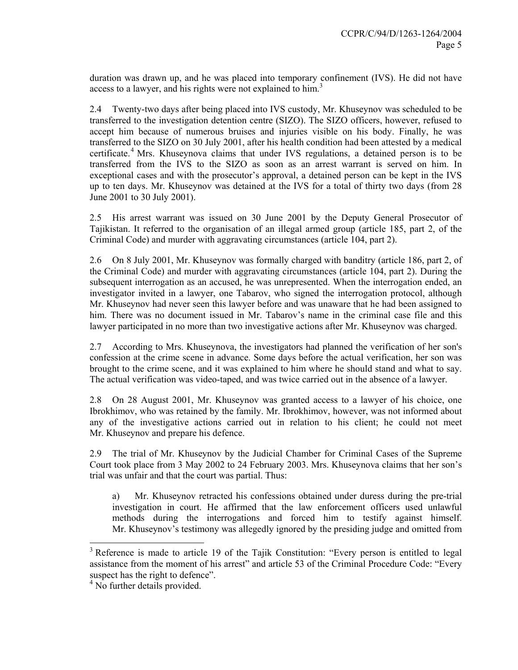duration was drawn up, and he was placed into temporary confinement (IVS). He did not have access to a lawyer, and his rights were not explained to him.<sup>3</sup>

2.4 Twenty-two days after being placed into IVS custody, Mr. Khuseynov was scheduled to be transferred to the investigation detention centre (SIZO). The SIZO officers, however, refused to accept him because of numerous bruises and injuries visible on his body. Finally, he was transferred to the SIZO on 30 July 2001, after his health condition had been attested by a medical certificate.<sup>4</sup> Mrs. Khuseynova claims that under IVS regulations, a detained person is to be transferred from the IVS to the SIZO as soon as an arrest warrant is served on him. In exceptional cases and with the prosecutor's approval, a detained person can be kept in the IVS up to ten days. Mr. Khuseynov was detained at the IVS for a total of thirty two days (from 28 June 2001 to 30 July 2001).

2.5 His arrest warrant was issued on 30 June 2001 by the Deputy General Prosecutor of Tajikistan. It referred to the organisation of an illegal armed group (article 185, part 2, of the Criminal Code) and murder with aggravating circumstances (article 104, part 2).

2.6 On 8 July 2001, Mr. Khuseynov was formally charged with banditry (article 186, part 2, of the Criminal Code) and murder with aggravating circumstances (article 104, part 2). During the subsequent interrogation as an accused, he was unrepresented. When the interrogation ended, an investigator invited in a lawyer, one Tabarov, who signed the interrogation protocol, although Mr. Khuseynov had never seen this lawyer before and was unaware that he had been assigned to him. There was no document issued in Mr. Tabarov's name in the criminal case file and this lawyer participated in no more than two investigative actions after Mr. Khuseynov was charged.

2.7 According to Mrs. Khuseynova, the investigators had planned the verification of her son's confession at the crime scene in advance. Some days before the actual verification, her son was brought to the crime scene, and it was explained to him where he should stand and what to say. The actual verification was video-taped, and was twice carried out in the absence of a lawyer.

2.8 On 28 August 2001, Mr. Khuseynov was granted access to a lawyer of his choice, one Ibrokhimov, who was retained by the family. Mr. Ibrokhimov, however, was not informed about any of the investigative actions carried out in relation to his client; he could not meet Mr. Khuseynov and prepare his defence.

2.9 The trial of Mr. Khuseynov by the Judicial Chamber for Criminal Cases of the Supreme Court took place from 3 May 2002 to 24 February 2003. Mrs. Khuseynova claims that her son's trial was unfair and that the court was partial. Thus:

a) Mr. Khuseynov retracted his confessions obtained under duress during the pre-trial investigation in court. He affirmed that the law enforcement officers used unlawful methods during the interrogations and forced him to testify against himself. Mr. Khuseynov's testimony was allegedly ignored by the presiding judge and omitted from

<sup>&</sup>lt;sup>3</sup> Reference is made to article 19 of the Tajik Constitution: "Every person is entitled to legal assistance from the moment of his arrest" and article 53 of the Criminal Procedure Code: "Every suspect has the right to defence".

<sup>&</sup>lt;sup>4</sup> No further details provided.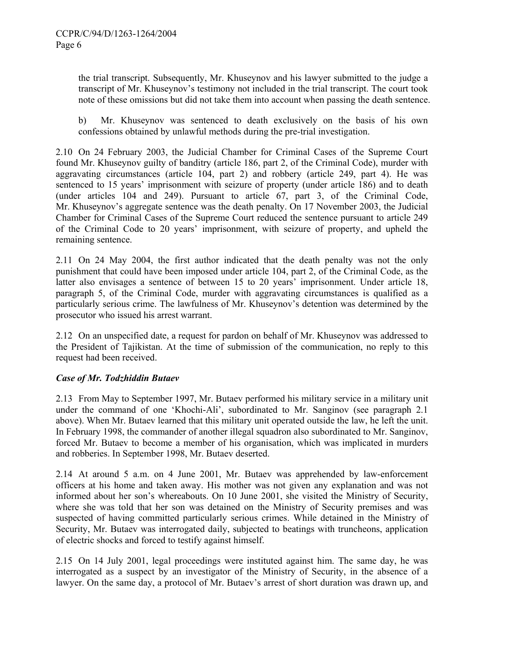the trial transcript. Subsequently, Mr. Khuseynov and his lawyer submitted to the judge a transcript of Mr. Khuseynov's testimony not included in the trial transcript. The court took note of these omissions but did not take them into account when passing the death sentence.

b) Mr. Khuseynov was sentenced to death exclusively on the basis of his own confessions obtained by unlawful methods during the pre-trial investigation.

2.10 On 24 February 2003, the Judicial Chamber for Criminal Cases of the Supreme Court found Mr. Khuseynov guilty of banditry (article 186, part 2, of the Criminal Code), murder with aggravating circumstances (article 104, part 2) and robbery (article 249, part 4). He was sentenced to 15 years' imprisonment with seizure of property (under article 186) and to death (under articles 104 and 249). Pursuant to article 67, part 3, of the Criminal Code, Mr. Khuseynov's aggregate sentence was the death penalty. On 17 November 2003, the Judicial Chamber for Criminal Cases of the Supreme Court reduced the sentence pursuant to article 249 of the Criminal Code to 20 years' imprisonment, with seizure of property, and upheld the remaining sentence.

2.11 On 24 May 2004, the first author indicated that the death penalty was not the only punishment that could have been imposed under article 104, part 2, of the Criminal Code, as the latter also envisages a sentence of between 15 to 20 years' imprisonment. Under article 18, paragraph 5, of the Criminal Code, murder with aggravating circumstances is qualified as a particularly serious crime. The lawfulness of Mr. Khuseynov's detention was determined by the prosecutor who issued his arrest warrant.

2.12 On an unspecified date, a request for pardon on behalf of Mr. Khuseynov was addressed to the President of Tajikistan. At the time of submission of the communication, no reply to this request had been received.

## *Case of Mr. Todzhiddin Butaev*

2.13 From May to September 1997, Mr. Butaev performed his military service in a military unit under the command of one 'Khochi-Ali', subordinated to Mr. Sanginov (see paragraph 2.1 above). When Mr. Butaev learned that this military unit operated outside the law, he left the unit. In February 1998, the commander of another illegal squadron also subordinated to Mr. Sanginov, forced Mr. Butaev to become a member of his organisation, which was implicated in murders and robberies. In September 1998, Mr. Butaev deserted.

2.14 At around 5 a.m. on 4 June 2001, Mr. Butaev was apprehended by law-enforcement officers at his home and taken away. His mother was not given any explanation and was not informed about her son's whereabouts. On 10 June 2001, she visited the Ministry of Security, where she was told that her son was detained on the Ministry of Security premises and was suspected of having committed particularly serious crimes. While detained in the Ministry of Security, Mr. Butaev was interrogated daily, subjected to beatings with truncheons, application of electric shocks and forced to testify against himself.

2.15 On 14 July 2001, legal proceedings were instituted against him. The same day, he was interrogated as a suspect by an investigator of the Ministry of Security, in the absence of a lawyer. On the same day, a protocol of Mr. Butaev's arrest of short duration was drawn up, and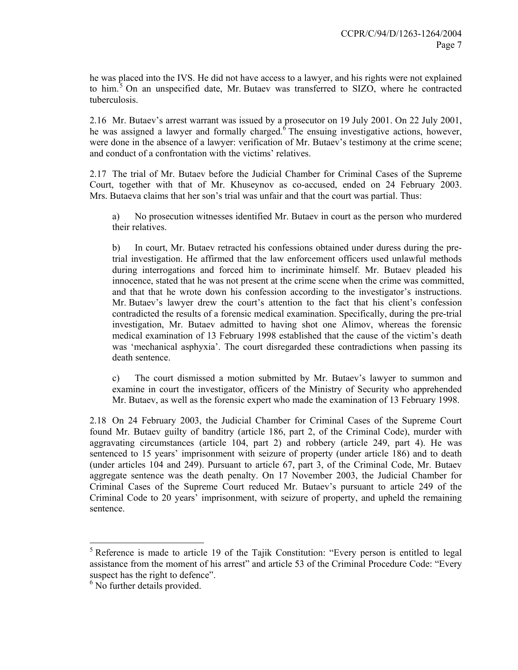he was placed into the IVS. He did not have access to a lawyer, and his rights were not explained to him.<sup>5</sup> On an unspecified date, Mr. Butaev was transferred to SIZO, where he contracted tuberculosis.

2.16 Mr. Butaev's arrest warrant was issued by a prosecutor on 19 July 2001. On 22 July 2001, he was assigned a lawyer and formally charged.  $6$  The ensuing investigative actions, however, were done in the absence of a lawyer: verification of Mr. Butaev's testimony at the crime scene; and conduct of a confrontation with the victims' relatives.

2.17 The trial of Mr. Butaev before the Judicial Chamber for Criminal Cases of the Supreme Court, together with that of Mr. Khuseynov as co-accused, ended on 24 February 2003. Mrs. Butaeva claims that her son's trial was unfair and that the court was partial. Thus:

a) No prosecution witnesses identified Mr. Butaev in court as the person who murdered their relatives.

b) In court, Mr. Butaev retracted his confessions obtained under duress during the pretrial investigation. He affirmed that the law enforcement officers used unlawful methods during interrogations and forced him to incriminate himself. Mr. Butaev pleaded his innocence, stated that he was not present at the crime scene when the crime was committed, and that that he wrote down his confession according to the investigator's instructions. Mr. Butaev's lawyer drew the court's attention to the fact that his client's confession contradicted the results of a forensic medical examination. Specifically, during the pre-trial investigation, Mr. Butaev admitted to having shot one Alimov, whereas the forensic medical examination of 13 February 1998 established that the cause of the victim's death was 'mechanical asphyxia'. The court disregarded these contradictions when passing its death sentence.

c) The court dismissed a motion submitted by Mr. Butaev's lawyer to summon and examine in court the investigator, officers of the Ministry of Security who apprehended Mr. Butaev, as well as the forensic expert who made the examination of 13 February 1998.

2.18 On 24 February 2003, the Judicial Chamber for Criminal Cases of the Supreme Court found Mr. Butaev guilty of banditry (article 186, part 2, of the Criminal Code), murder with aggravating circumstances (article 104, part 2) and robbery (article 249, part 4). He was sentenced to 15 years' imprisonment with seizure of property (under article 186) and to death (under articles 104 and 249). Pursuant to article 67, part 3, of the Criminal Code, Mr. Butaev aggregate sentence was the death penalty. On 17 November 2003, the Judicial Chamber for Criminal Cases of the Supreme Court reduced Mr. Butaev's pursuant to article 249 of the Criminal Code to 20 years' imprisonment, with seizure of property, and upheld the remaining sentence.

 $<sup>5</sup>$  Reference is made to article 19 of the Tajik Constitution: "Every person is entitled to legal</sup> assistance from the moment of his arrest" and article 53 of the Criminal Procedure Code: "Every suspect has the right to defence".

<sup>&</sup>lt;sup>6</sup> No further details provided.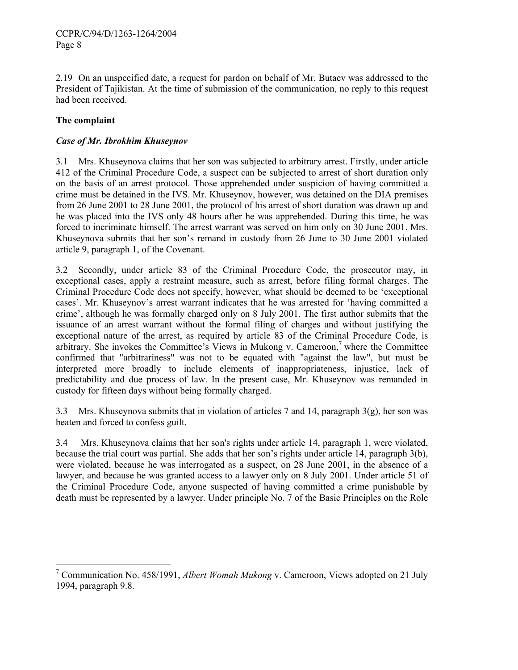2.19 On an unspecified date, a request for pardon on behalf of Mr. Butaev was addressed to the President of Tajikistan. At the time of submission of the communication, no reply to this request had been received.

## **The complaint**

## *Case of Mr. Ibrokhim Khuseynov*

3.1 Mrs. Khuseynova claims that her son was subjected to arbitrary arrest. Firstly, under article 412 of the Criminal Procedure Code, a suspect can be subjected to arrest of short duration only on the basis of an arrest protocol. Those apprehended under suspicion of having committed a crime must be detained in the IVS. Mr. Khuseynov, however, was detained on the DIA premises from 26 June 2001 to 28 June 2001, the protocol of his arrest of short duration was drawn up and he was placed into the IVS only 48 hours after he was apprehended. During this time, he was forced to incriminate himself. The arrest warrant was served on him only on 30 June 2001. Mrs. Khuseynova submits that her son's remand in custody from 26 June to 30 June 2001 violated article 9, paragraph 1, of the Covenant.

3.2 Secondly, under article 83 of the Criminal Procedure Code, the prosecutor may, in exceptional cases, apply a restraint measure, such as arrest, before filing formal charges. The Criminal Procedure Code does not specify, however, what should be deemed to be 'exceptional cases'. Mr. Khuseynov's arrest warrant indicates that he was arrested for 'having committed a crime', although he was formally charged only on 8 July 2001. The first author submits that the issuance of an arrest warrant without the formal filing of charges and without justifying the exceptional nature of the arrest, as required by article 83 of the Criminal Procedure Code, is arbitrary. She invokes the Committee's Views in Mukong v. Cameroon,<sup>7</sup> where the Committee confirmed that "arbitrariness" was not to be equated with "against the law", but must be interpreted more broadly to include elements of inappropriateness, injustice, lack of predictability and due process of law. In the present case, Mr. Khuseynov was remanded in custody for fifteen days without being formally charged.

3.3 Mrs. Khuseynova submits that in violation of articles 7 and 14, paragraph  $3(g)$ , her son was beaten and forced to confess guilt.

3.4 Mrs. Khuseynova claims that her son's rights under article 14, paragraph 1, were violated, because the trial court was partial. She adds that her son's rights under article 14, paragraph 3(b), were violated, because he was interrogated as a suspect, on 28 June 2001, in the absence of a lawyer, and because he was granted access to a lawyer only on 8 July 2001. Under article 51 of the Criminal Procedure Code, anyone suspected of having committed a crime punishable by death must be represented by a lawyer. Under principle No. 7 of the Basic Principles on the Role

<sup>&</sup>lt;sup>7</sup> Communication No. 458/1991, *Albert Womah Mukong* v. Cameroon, Views adopted on 21 July 1994, paragraph 9.8.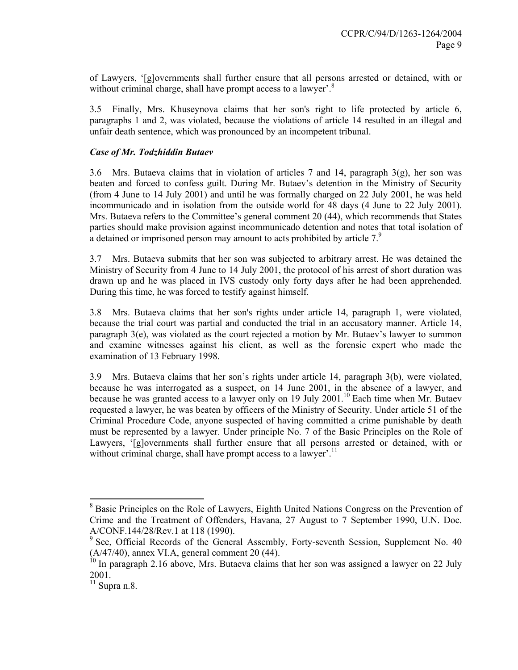of Lawyers, '[g]overnments shall further ensure that all persons arrested or detained, with or without criminal charge, shall have prompt access to a lawyer'.<sup>8</sup>

3.5 Finally, Mrs. Khuseynova claims that her son's right to life protected by article 6, paragraphs 1 and 2, was violated, because the violations of article 14 resulted in an illegal and unfair death sentence, which was pronounced by an incompetent tribunal.

## *Case of Mr. Todzhiddin Butaev*

3.6 Mrs. Butaeva claims that in violation of articles 7 and 14, paragraph  $3(g)$ , her son was beaten and forced to confess guilt. During Mr. Butaev's detention in the Ministry of Security (from 4 June to 14 July 2001) and until he was formally charged on 22 July 2001, he was held incommunicado and in isolation from the outside world for 48 days (4 June to 22 July 2001). Mrs. Butaeva refers to the Committee's general comment 20 (44), which recommends that States parties should make provision against incommunicado detention and notes that total isolation of a detained or imprisoned person may amount to acts prohibited by article 7.<sup>9</sup>

3.7 Mrs. Butaeva submits that her son was subjected to arbitrary arrest. He was detained the Ministry of Security from 4 June to 14 July 2001, the protocol of his arrest of short duration was drawn up and he was placed in IVS custody only forty days after he had been apprehended. During this time, he was forced to testify against himself.

3.8 Mrs. Butaeva claims that her son's rights under article 14, paragraph 1, were violated, because the trial court was partial and conducted the trial in an accusatory manner. Article 14, paragraph 3(e), was violated as the court rejected a motion by Mr. Butaev's lawyer to summon and examine witnesses against his client, as well as the forensic expert who made the examination of 13 February 1998.

3.9 Mrs. Butaeva claims that her son's rights under article 14, paragraph 3(b), were violated, because he was interrogated as a suspect, on 14 June 2001, in the absence of a lawyer, and because he was granted access to a lawyer only on 19 July  $2001$ .<sup>10</sup> Each time when Mr. Butaev requested a lawyer, he was beaten by officers of the Ministry of Security. Under article 51 of the Criminal Procedure Code, anyone suspected of having committed a crime punishable by death must be represented by a lawyer. Under principle No. 7 of the Basic Principles on the Role of Lawyers, '[g]overnments shall further ensure that all persons arrested or detained, with or without criminal charge, shall have prompt access to a lawyer'.<sup>11</sup>

<sup>&</sup>lt;sup>8</sup> Basic Principles on the Role of Lawyers, Eighth United Nations Congress on the Prevention of Crime and the Treatment of Offenders, Havana, 27 August to 7 September 1990, U.N. Doc. A/CONF.144/28/Rev.1 at 118 (1990).

<sup>&</sup>lt;sup>9</sup> See, Official Records of the General Assembly, Forty-seventh Session, Supplement No. 40 (A/47/40), annex VI.A, general comment 20 (44).

 $10$  In paragraph 2.16 above, Mrs. Butaeva claims that her son was assigned a lawyer on 22 July 2001.

 $\frac{11}{11}$  Supra n.8.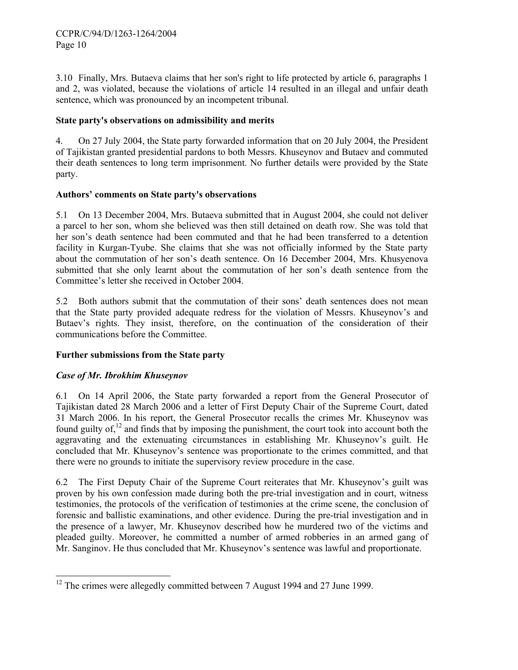3.10 Finally, Mrs. Butaeva claims that her son's right to life protected by article 6, paragraphs 1 and 2, was violated, because the violations of article 14 resulted in an illegal and unfair death sentence, which was pronounced by an incompetent tribunal.

## **State party's observations on admissibility and merits**

4. On 27 July 2004, the State party forwarded information that on 20 July 2004, the President of Tajikistan granted presidential pardons to both Messrs. Khuseynov and Butaev and commuted their death sentences to long term imprisonment. No further details were provided by the State party.

#### **Authors' comments on State party's observations**

5.1 On 13 December 2004, Mrs. Butaeva submitted that in August 2004, she could not deliver a parcel to her son, whom she believed was then still detained on death row. She was told that her son's death sentence had been commuted and that he had been transferred to a detention facility in Kurgan-Tyube. She claims that she was not officially informed by the State party about the commutation of her son's death sentence. On 16 December 2004, Mrs. Khusyenova submitted that she only learnt about the commutation of her son's death sentence from the Committee's letter she received in October 2004.

5.2 Both authors submit that the commutation of their sons' death sentences does not mean that the State party provided adequate redress for the violation of Messrs. Khuseynov's and Butaev's rights. They insist, therefore, on the continuation of the consideration of their communications before the Committee.

## **Further submissions from the State party**

## *Case of Mr. Ibrokhim Khuseynov*

 $\overline{\phantom{a}}$ 

6.1 On 14 April 2006, the State party forwarded a report from the General Prosecutor of Tajikistan dated 28 March 2006 and a letter of First Deputy Chair of the Supreme Court, dated 31 March 2006. In his report, the General Prosecutor recalls the crimes Mr. Khuseynov was found guilty of, $^{12}$  and finds that by imposing the punishment, the court took into account both the aggravating and the extenuating circumstances in establishing Mr. Khuseynov's guilt. He concluded that Mr. Khuseynov's sentence was proportionate to the crimes committed, and that there were no grounds to initiate the supervisory review procedure in the case.

6.2 The First Deputy Chair of the Supreme Court reiterates that Mr. Khuseynov's guilt was proven by his own confession made during both the pre-trial investigation and in court, witness testimonies, the protocols of the verification of testimonies at the crime scene, the conclusion of forensic and ballistic examinations, and other evidence. During the pre-trial investigation and in the presence of a lawyer, Mr. Khuseynov described how he murdered two of the victims and pleaded guilty. Moreover, he committed a number of armed robberies in an armed gang of Mr. Sanginov. He thus concluded that Mr. Khuseynov's sentence was lawful and proportionate.

 $12$  The crimes were allegedly committed between 7 August 1994 and 27 June 1999.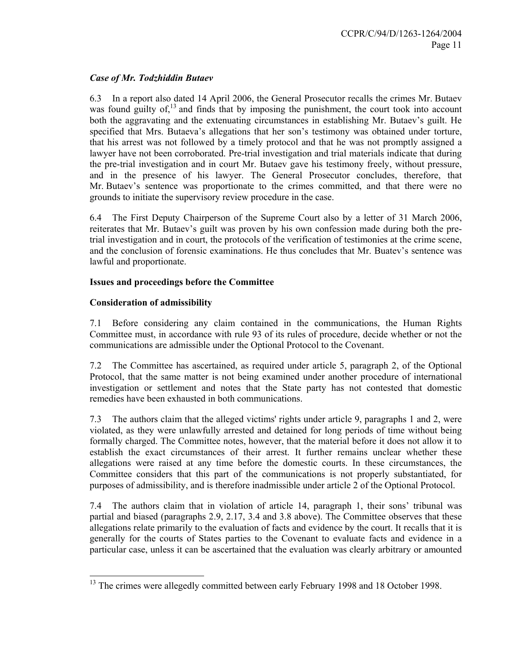## *Case of Mr. Todzhiddin Butaev*

6.3 In a report also dated 14 April 2006, the General Prosecutor recalls the crimes Mr. Butaev was found guilty of, $^{13}$  and finds that by imposing the punishment, the court took into account both the aggravating and the extenuating circumstances in establishing Mr. Butaev's guilt. He specified that Mrs. Butaeva's allegations that her son's testimony was obtained under torture, that his arrest was not followed by a timely protocol and that he was not promptly assigned a lawyer have not been corroborated. Pre-trial investigation and trial materials indicate that during the pre-trial investigation and in court Mr. Butaev gave his testimony freely, without pressure, and in the presence of his lawyer. The General Prosecutor concludes, therefore, that Mr. Butaev's sentence was proportionate to the crimes committed, and that there were no grounds to initiate the supervisory review procedure in the case.

6.4 The First Deputy Chairperson of the Supreme Court also by a letter of 31 March 2006, reiterates that Mr. Butaev's guilt was proven by his own confession made during both the pretrial investigation and in court, the protocols of the verification of testimonies at the crime scene, and the conclusion of forensic examinations. He thus concludes that Mr. Buatev's sentence was lawful and proportionate.

## **Issues and proceedings before the Committee**

## **Consideration of admissibility**

 $\overline{a}$ 

7.1 Before considering any claim contained in the communications, the Human Rights Committee must, in accordance with rule 93 of its rules of procedure, decide whether or not the communications are admissible under the Optional Protocol to the Covenant.

7.2 The Committee has ascertained, as required under article 5, paragraph 2, of the Optional Protocol, that the same matter is not being examined under another procedure of international investigation or settlement and notes that the State party has not contested that domestic remedies have been exhausted in both communications.

7.3 The authors claim that the alleged victims' rights under article 9, paragraphs 1 and 2, were violated, as they were unlawfully arrested and detained for long periods of time without being formally charged. The Committee notes, however, that the material before it does not allow it to establish the exact circumstances of their arrest. It further remains unclear whether these allegations were raised at any time before the domestic courts. In these circumstances, the Committee considers that this part of the communications is not properly substantiated, for purposes of admissibility, and is therefore inadmissible under article 2 of the Optional Protocol.

7.4 The authors claim that in violation of article 14, paragraph 1, their sons' tribunal was partial and biased (paragraphs 2.9, 2.17, 3.4 and 3.8 above). The Committee observes that these allegations relate primarily to the evaluation of facts and evidence by the court. It recalls that it is generally for the courts of States parties to the Covenant to evaluate facts and evidence in a particular case, unless it can be ascertained that the evaluation was clearly arbitrary or amounted

<sup>&</sup>lt;sup>13</sup> The crimes were allegedly committed between early February 1998 and 18 October 1998.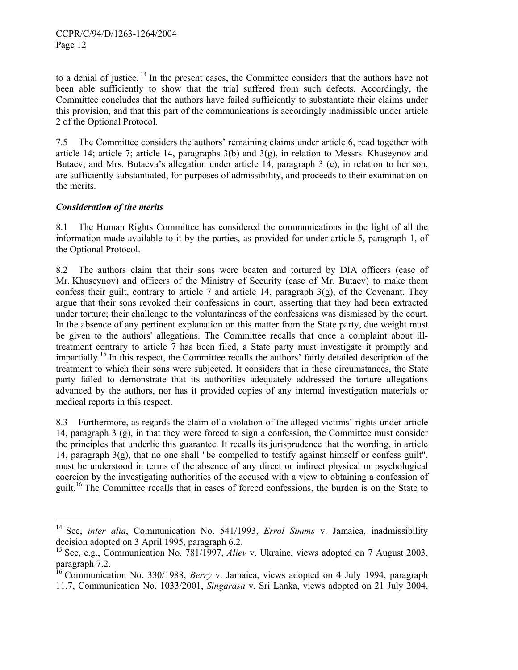to a denial of justice. 14 In the present cases, the Committee considers that the authors have not been able sufficiently to show that the trial suffered from such defects. Accordingly, the Committee concludes that the authors have failed sufficiently to substantiate their claims under this provision, and that this part of the communications is accordingly inadmissible under article 2 of the Optional Protocol.

7.5 The Committee considers the authors' remaining claims under article 6, read together with article 14; article 7; article 14, paragraphs 3(b) and 3(g), in relation to Messrs. Khuseynov and Butaev; and Mrs. Butaeva's allegation under article 14, paragraph 3 (e), in relation to her son, are sufficiently substantiated, for purposes of admissibility, and proceeds to their examination on the merits.

## *Consideration of the merits*

 $\overline{\phantom{a}}$ 

8.1 The Human Rights Committee has considered the communications in the light of all the information made available to it by the parties, as provided for under article 5, paragraph 1, of the Optional Protocol.

8.2 The authors claim that their sons were beaten and tortured by DIA officers (case of Mr. Khuseynov) and officers of the Ministry of Security (case of Mr. Butaev) to make them confess their guilt, contrary to article 7 and article 14, paragraph  $3(g)$ , of the Covenant. They argue that their sons revoked their confessions in court, asserting that they had been extracted under torture; their challenge to the voluntariness of the confessions was dismissed by the court. In the absence of any pertinent explanation on this matter from the State party, due weight must be given to the authors' allegations. The Committee recalls that once a complaint about illtreatment contrary to article 7 has been filed, a State party must investigate it promptly and impartially.<sup>15</sup> In this respect, the Committee recalls the authors' fairly detailed description of the treatment to which their sons were subjected. It considers that in these circumstances, the State party failed to demonstrate that its authorities adequately addressed the torture allegations advanced by the authors, nor has it provided copies of any internal investigation materials or medical reports in this respect.

8.3 Furthermore, as regards the claim of a violation of the alleged victims' rights under article 14, paragraph 3 (g), in that they were forced to sign a confession, the Committee must consider the principles that underlie this guarantee. It recalls its jurisprudence that the wording, in article 14, paragraph  $3(g)$ , that no one shall "be compelled to testify against himself or confess guilt", must be understood in terms of the absence of any direct or indirect physical or psychological coercion by the investigating authorities of the accused with a view to obtaining a confession of guilt.<sup>16</sup> The Committee recalls that in cases of forced confessions, the burden is on the State to

<sup>14</sup> See, *inter alia*, Communication No. 541/1993, *Errol Simms* v. Jamaica, inadmissibility decision adopted on 3 April 1995, paragraph 6.2.

<sup>15</sup> See, e.g., Communication No. 781/1997, *Aliev* v. Ukraine, views adopted on 7 August 2003, paragraph 7.2.

<sup>16</sup> Communication No. 330/1988, *Berry* v. Jamaica, views adopted on 4 July 1994, paragraph 11.7, Communication No. 1033/2001, *Singarasa* v. Sri Lanka, views adopted on 21 July 2004,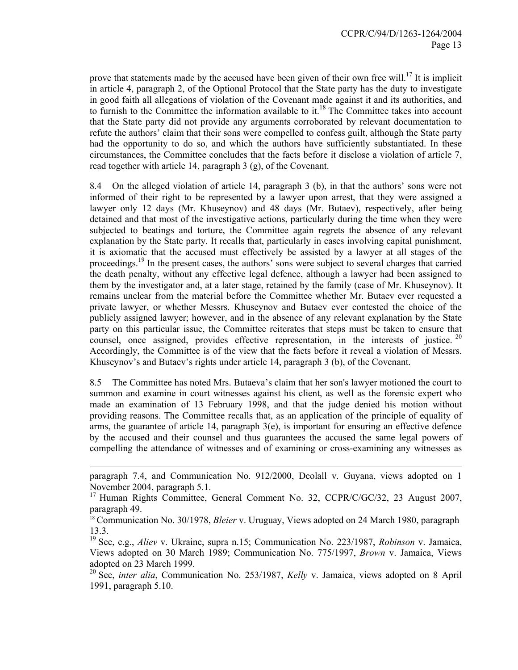prove that statements made by the accused have been given of their own free will.<sup>17</sup> It is implicit in article 4, paragraph 2, of the Optional Protocol that the State party has the duty to investigate in good faith all allegations of violation of the Covenant made against it and its authorities, and to furnish to the Committee the information available to it.<sup>18</sup> The Committee takes into account that the State party did not provide any arguments corroborated by relevant documentation to refute the authors' claim that their sons were compelled to confess guilt, although the State party had the opportunity to do so, and which the authors have sufficiently substantiated. In these circumstances, the Committee concludes that the facts before it disclose a violation of article 7, read together with article 14, paragraph 3 (g), of the Covenant.

8.4 On the alleged violation of article 14, paragraph 3 (b), in that the authors' sons were not informed of their right to be represented by a lawyer upon arrest, that they were assigned a lawyer only 12 days (Mr. Khuseynov) and 48 days (Mr. Butaev), respectively, after being detained and that most of the investigative actions, particularly during the time when they were subjected to beatings and torture, the Committee again regrets the absence of any relevant explanation by the State party. It recalls that, particularly in cases involving capital punishment, it is axiomatic that the accused must effectively be assisted by a lawyer at all stages of the proceedings.<sup>19</sup> In the present cases, the authors' sons were subject to several charges that carried the death penalty, without any effective legal defence, although a lawyer had been assigned to them by the investigator and, at a later stage, retained by the family (case of Mr. Khuseynov). It remains unclear from the material before the Committee whether Mr. Butaev ever requested a private lawyer, or whether Messrs. Khuseynov and Butaev ever contested the choice of the publicly assigned lawyer; however, and in the absence of any relevant explanation by the State party on this particular issue, the Committee reiterates that steps must be taken to ensure that counsel, once assigned, provides effective representation, in the interests of justice.  $20$ Accordingly, the Committee is of the view that the facts before it reveal a violation of Messrs. Khuseynov's and Butaev's rights under article 14, paragraph 3 (b), of the Covenant.

8.5 The Committee has noted Mrs. Butaeva's claim that her son's lawyer motioned the court to summon and examine in court witnesses against his client, as well as the forensic expert who made an examination of 13 February 1998, and that the judge denied his motion without providing reasons. The Committee recalls that, as an application of the principle of equality of arms, the guarantee of article 14, paragraph  $3(e)$ , is important for ensuring an effective defence by the accused and their counsel and thus guarantees the accused the same legal powers of compelling the attendance of witnesses and of examining or cross-examining any witnesses as

-

paragraph 7.4, and Communication No. 912/2000, Deolall v. Guyana, views adopted on 1 November 2004, paragraph 5.1.

<sup>&</sup>lt;sup>17</sup> Human Rights Committee, General Comment No. 32, CCPR/C/GC/32, 23 August 2007, paragraph 49.

<sup>18</sup> Communication No. 30/1978, *Bleier* v. Uruguay, Views adopted on 24 March 1980, paragraph 13.3.

<sup>19</sup> See, e.g., *Aliev* v. Ukraine, supra n.15; Communication No. 223/1987, *Robinson* v. Jamaica, Views adopted on 30 March 1989; Communication No. 775/1997, *Brown* v. Jamaica, Views adopted on 23 March 1999.

<sup>20</sup> See, *inter alia*, Communication No. 253/1987, *Kelly* v. Jamaica, views adopted on 8 April 1991, paragraph 5.10.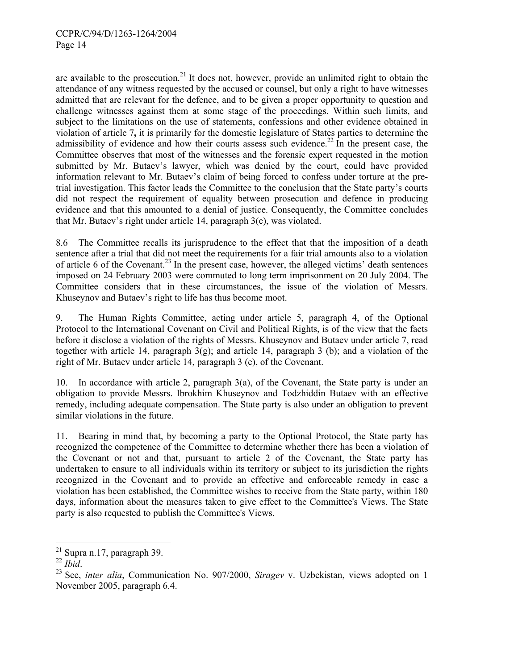are available to the prosecution.<sup>21</sup> It does not, however, provide an unlimited right to obtain the attendance of any witness requested by the accused or counsel, but only a right to have witnesses admitted that are relevant for the defence, and to be given a proper opportunity to question and challenge witnesses against them at some stage of the proceedings. Within such limits, and subject to the limitations on the use of statements, confessions and other evidence obtained in violation of article 7**,** it is primarily for the domestic legislature of States parties to determine the admissibility of evidence and how their courts assess such evidence.<sup>22</sup> In the present case, the Committee observes that most of the witnesses and the forensic expert requested in the motion submitted by Mr. Butaev's lawyer, which was denied by the court, could have provided information relevant to Mr. Butaev's claim of being forced to confess under torture at the pretrial investigation. This factor leads the Committee to the conclusion that the State party's courts did not respect the requirement of equality between prosecution and defence in producing evidence and that this amounted to a denial of justice. Consequently, the Committee concludes that Mr. Butaev's right under article 14, paragraph 3(e), was violated.

8.6 The Committee recalls its jurisprudence to the effect that that the imposition of a death sentence after a trial that did not meet the requirements for a fair trial amounts also to a violation of article 6 of the Covenant.<sup>23</sup> In the present case, however, the alleged victims' death sentences imposed on 24 February 2003 were commuted to long term imprisonment on 20 July 2004. The Committee considers that in these circumstances, the issue of the violation of Messrs. Khuseynov and Butaev's right to life has thus become moot.

9. The Human Rights Committee, acting under article 5, paragraph 4, of the Optional Protocol to the International Covenant on Civil and Political Rights, is of the view that the facts before it disclose a violation of the rights of Messrs. Khuseynov and Butaev under article 7, read together with article 14, paragraph  $3(g)$ ; and article 14, paragraph 3 (b); and a violation of the right of Mr. Butaev under article 14, paragraph 3 (e), of the Covenant.

10. In accordance with article 2, paragraph 3(a), of the Covenant, the State party is under an obligation to provide Messrs. Ibrokhim Khuseynov and Todzhiddin Butaev with an effective remedy, including adequate compensation. The State party is also under an obligation to prevent similar violations in the future.

11. Bearing in mind that, by becoming a party to the Optional Protocol, the State party has recognized the competence of the Committee to determine whether there has been a violation of the Covenant or not and that, pursuant to article 2 of the Covenant, the State party has undertaken to ensure to all individuals within its territory or subject to its jurisdiction the rights recognized in the Covenant and to provide an effective and enforceable remedy in case a violation has been established, the Committee wishes to receive from the State party, within 180 days, information about the measures taken to give effect to the Committee's Views. The State party is also requested to publish the Committee's Views.

<sup>&</sup>lt;sup>21</sup> Supra n.17, paragraph 39.<br><sup>22</sup> Ibid.

<sup>&</sup>lt;sup>23</sup> See, *inter alia*, Communication No. 907/2000, *Siragev* v. Uzbekistan, views adopted on 1 November 2005, paragraph 6.4.